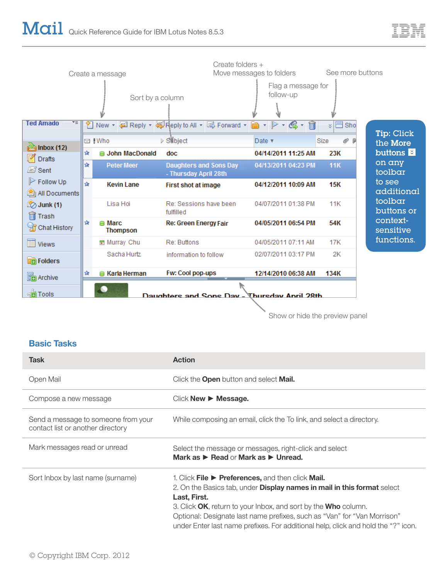

Show or hide the preview panel

## **Basic Tasks**

| <b>Task</b>                                                              | <b>Action</b>                                                                                                                                                                                                                                                                                                                                                                                         |
|--------------------------------------------------------------------------|-------------------------------------------------------------------------------------------------------------------------------------------------------------------------------------------------------------------------------------------------------------------------------------------------------------------------------------------------------------------------------------------------------|
| Open Mail                                                                | Click the <b>Open</b> button and select <b>Mail.</b>                                                                                                                                                                                                                                                                                                                                                  |
| Compose a new message                                                    | $Click New \triangleright Message.$                                                                                                                                                                                                                                                                                                                                                                   |
| Send a message to someone from your<br>contact list or another directory | While composing an email, click the To link, and select a directory.                                                                                                                                                                                                                                                                                                                                  |
| Mark messages read or unread                                             | Select the message or messages, right-click and select<br>Mark as $\triangleright$ Read or Mark as $\triangleright$ Unread.                                                                                                                                                                                                                                                                           |
| Sort Inbox by last name (surname)                                        | 1. Click File $\triangleright$ Preferences, and then click Mail.<br>2. On the Basics tab, under <b>Display names in mail in this format</b> select<br>Last, First.<br>3. Click OK, return to your Inbox, and sort by the Who column.<br>Optional: Designate last name prefixes, such as "Van" for "Van Morrison"<br>under Enter last name prefixes. For additional help, click and hold the "?" icon. |